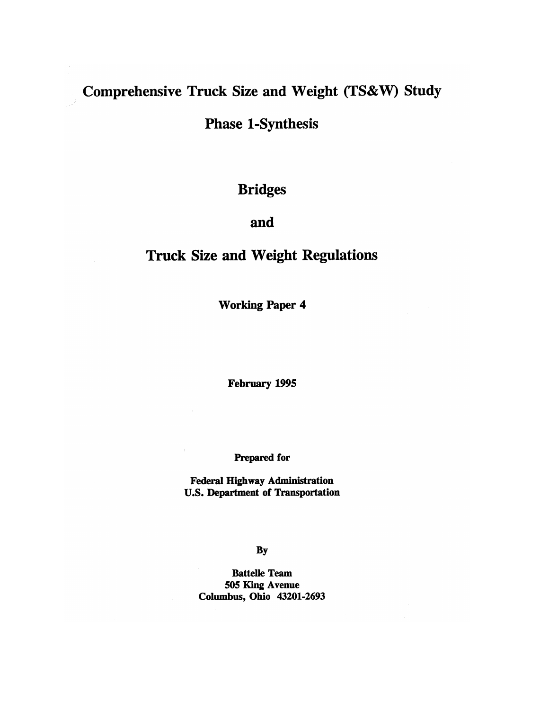# Comprehensive Truck Size and Weight (TS&W) Study

**Phase 1-Synthesis** 

**Bridges** 

# and

# **Truck Size and Weight Regulations**

**Working Paper 4** 

February 1995

Prepared for

**Federal Highway Administration U.S. Department of Transportation** 

By

**Battelle Team** 505 King Avenue Columbus, Ohio 43201-2693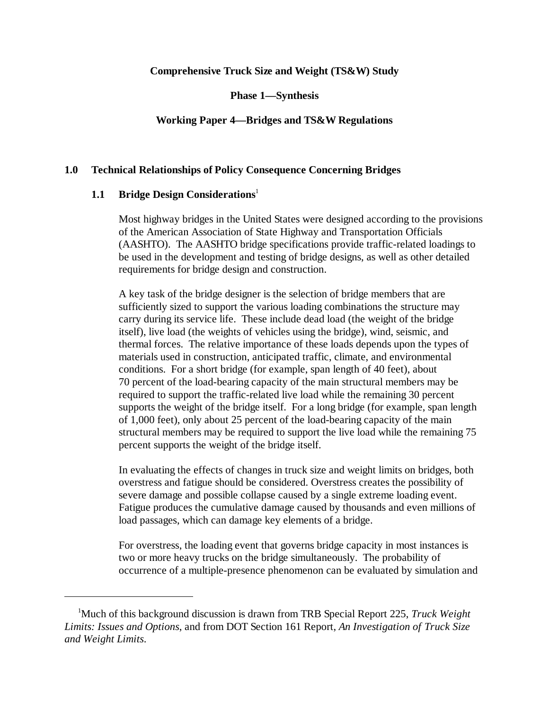### **Comprehensive Truck Size and Weight (TS&W) Study**

**Phase 1—Synthesis**

# **Working Paper 4—Bridges and TS&W Regulations**

#### **1.0 Technical Relationships of Policy Consequence Concerning Bridges**

#### **1.1 Bridge Design Considerations**

Most highway bridges in the United States were designed according to the provisions of the American Association of State Highway and Transportation Officials (AASHTO). The AASHTO bridge specifications provide traffic-related loadings to be used in the development and testing of bridge designs, as well as other detailed requirements for bridge design and construction.

A key task of the bridge designer is the selection of bridge members that are sufficiently sized to support the various loading combinations the structure may carry during its service life. These include dead load (the weight of the bridge itself), live load (the weights of vehicles using the bridge), wind, seismic, and thermal forces. The relative importance of these loads depends upon the types of materials used in construction, anticipated traffic, climate, and environmental conditions. For a short bridge (for example, span length of 40 feet), about 70 percent of the load-bearing capacity of the main structural members may be required to support the traffic-related live load while the remaining 30 percent supports the weight of the bridge itself. For a long bridge (for example, span length of 1,000 feet), only about 25 percent of the load-bearing capacity of the main structural members may be required to support the live load while the remaining 75 percent supports the weight of the bridge itself.

In evaluating the effects of changes in truck size and weight limits on bridges, both overstress and fatigue should be considered. Overstress creates the possibility of severe damage and possible collapse caused by a single extreme loading event. Fatigue produces the cumulative damage caused by thousands and even millions of load passages, which can damage key elements of a bridge.

For overstress, the loading event that governs bridge capacity in most instances is two or more heavy trucks on the bridge simultaneously. The probability of occurrence of a multiple-presence phenomenon can be evaluated by simulation and

Much of this background discussion is drawn from TRB Special Report 225, *Truck Weight* <sup>1</sup> *Limits: Issues and Options*, and from DOT Section 161 Report, *An Investigation of Truck Size and Weight Limits*.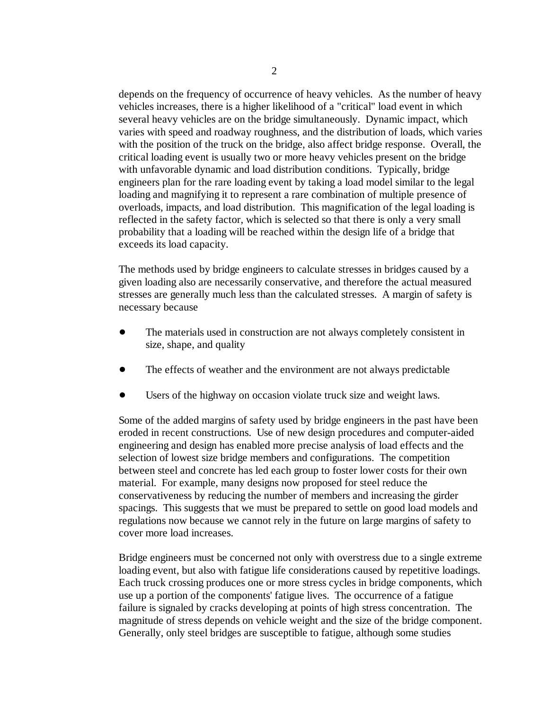depends on the frequency of occurrence of heavy vehicles. As the number of heavy vehicles increases, there is a higher likelihood of a "critical" load event in which several heavy vehicles are on the bridge simultaneously. Dynamic impact, which varies with speed and roadway roughness, and the distribution of loads, which varies with the position of the truck on the bridge, also affect bridge response. Overall, the critical loading event is usually two or more heavy vehicles present on the bridge with unfavorable dynamic and load distribution conditions. Typically, bridge engineers plan for the rare loading event by taking a load model similar to the legal loading and magnifying it to represent a rare combination of multiple presence of overloads, impacts, and load distribution. This magnification of the legal loading is reflected in the safety factor, which is selected so that there is only a very small probability that a loading will be reached within the design life of a bridge that exceeds its load capacity.

The methods used by bridge engineers to calculate stresses in bridges caused by a given loading also are necessarily conservative, and therefore the actual measured stresses are generally much less than the calculated stresses. A margin of safety is necessary because

- The materials used in construction are not always completely consistent in size, shape, and quality
- The effects of weather and the environment are not always predictable
- Users of the highway on occasion violate truck size and weight laws.

Some of the added margins of safety used by bridge engineers in the past have been eroded in recent constructions. Use of new design procedures and computer-aided engineering and design has enabled more precise analysis of load effects and the selection of lowest size bridge members and configurations. The competition between steel and concrete has led each group to foster lower costs for their own material. For example, many designs now proposed for steel reduce the conservativeness by reducing the number of members and increasing the girder spacings. This suggests that we must be prepared to settle on good load models and regulations now because we cannot rely in the future on large margins of safety to cover more load increases.

Bridge engineers must be concerned not only with overstress due to a single extreme loading event, but also with fatigue life considerations caused by repetitive loadings. Each truck crossing produces one or more stress cycles in bridge components, which use up a portion of the components' fatigue lives. The occurrence of a fatigue failure is signaled by cracks developing at points of high stress concentration. The magnitude of stress depends on vehicle weight and the size of the bridge component. Generally, only steel bridges are susceptible to fatigue, although some studies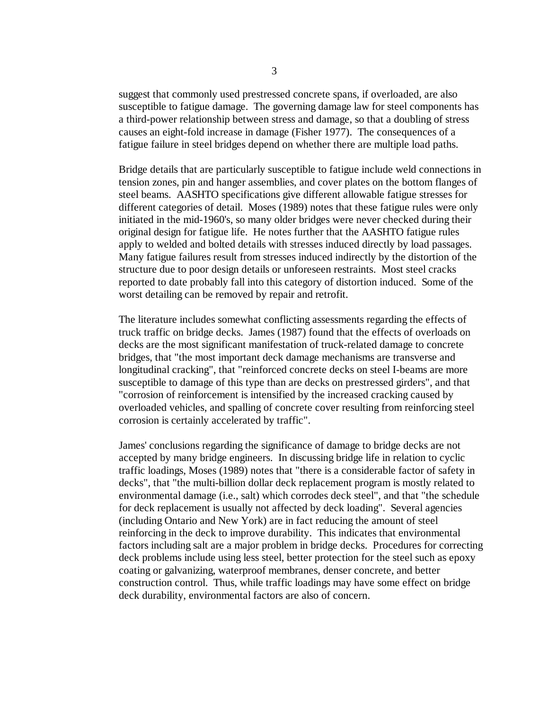suggest that commonly used prestressed concrete spans, if overloaded, are also susceptible to fatigue damage. The governing damage law for steel components has a third-power relationship between stress and damage, so that a doubling of stress causes an eight-fold increase in damage (Fisher 1977). The consequences of a fatigue failure in steel bridges depend on whether there are multiple load paths.

Bridge details that are particularly susceptible to fatigue include weld connections in tension zones, pin and hanger assemblies, and cover plates on the bottom flanges of steel beams. AASHTO specifications give different allowable fatigue stresses for different categories of detail. Moses (1989) notes that these fatigue rules were only initiated in the mid-1960's, so many older bridges were never checked during their original design for fatigue life. He notes further that the AASHTO fatigue rules apply to welded and bolted details with stresses induced directly by load passages. Many fatigue failures result from stresses induced indirectly by the distortion of the structure due to poor design details or unforeseen restraints. Most steel cracks reported to date probably fall into this category of distortion induced. Some of the worst detailing can be removed by repair and retrofit.

The literature includes somewhat conflicting assessments regarding the effects of truck traffic on bridge decks. James (1987) found that the effects of overloads on decks are the most significant manifestation of truck-related damage to concrete bridges, that "the most important deck damage mechanisms are transverse and longitudinal cracking", that "reinforced concrete decks on steel I-beams are more susceptible to damage of this type than are decks on prestressed girders", and that "corrosion of reinforcement is intensified by the increased cracking caused by overloaded vehicles, and spalling of concrete cover resulting from reinforcing steel corrosion is certainly accelerated by traffic".

James' conclusions regarding the significance of damage to bridge decks are not accepted by many bridge engineers. In discussing bridge life in relation to cyclic traffic loadings, Moses (1989) notes that "there is a considerable factor of safety in decks", that "the multi-billion dollar deck replacement program is mostly related to environmental damage (i.e., salt) which corrodes deck steel", and that "the schedule for deck replacement is usually not affected by deck loading". Several agencies (including Ontario and New York) are in fact reducing the amount of steel reinforcing in the deck to improve durability. This indicates that environmental factors including salt are a major problem in bridge decks. Procedures for correcting deck problems include using less steel, better protection for the steel such as epoxy coating or galvanizing, waterproof membranes, denser concrete, and better construction control. Thus, while traffic loadings may have some effect on bridge deck durability, environmental factors are also of concern.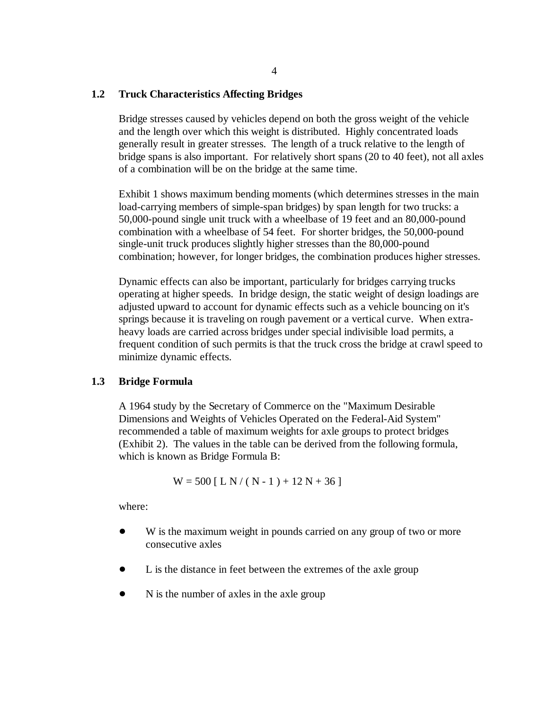#### **1.2 Truck Characteristics Affecting Bridges**

Bridge stresses caused by vehicles depend on both the gross weight of the vehicle and the length over which this weight is distributed. Highly concentrated loads generally result in greater stresses. The length of a truck relative to the length of bridge spans is also important. For relatively short spans (20 to 40 feet), not all axles of a combination will be on the bridge at the same time.

Exhibit 1 shows maximum bending moments (which determines stresses in the main load-carrying members of simple-span bridges) by span length for two trucks: a 50,000-pound single unit truck with a wheelbase of 19 feet and an 80,000-pound combination with a wheelbase of 54 feet. For shorter bridges, the 50,000-pound single-unit truck produces slightly higher stresses than the 80,000-pound combination; however, for longer bridges, the combination produces higher stresses.

Dynamic effects can also be important, particularly for bridges carrying trucks operating at higher speeds. In bridge design, the static weight of design loadings are adjusted upward to account for dynamic effects such as a vehicle bouncing on it's springs because it is traveling on rough pavement or a vertical curve. When extraheavy loads are carried across bridges under special indivisible load permits, a frequent condition of such permits is that the truck cross the bridge at crawl speed to minimize dynamic effects.

#### **1.3 Bridge Formula**

A 1964 study by the Secretary of Commerce on the "Maximum Desirable Dimensions and Weights of Vehicles Operated on the Federal-Aid System" recommended a table of maximum weights for axle groups to protect bridges (Exhibit 2). The values in the table can be derived from the following formula, which is known as Bridge Formula B:

$$
W = 500 [ L N / (N - 1) + 12 N + 36 ]
$$

where:

- W is the maximum weight in pounds carried on any group of two or more consecutive axles
- L is the distance in feet between the extremes of the axle group
- N is the number of axles in the axle group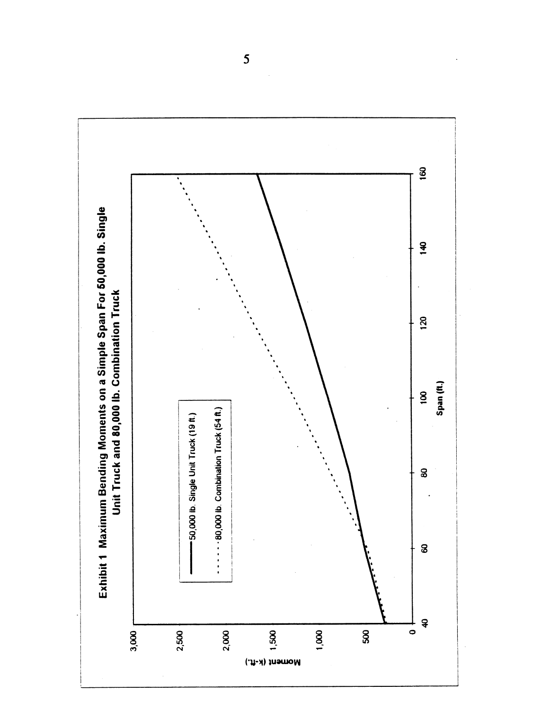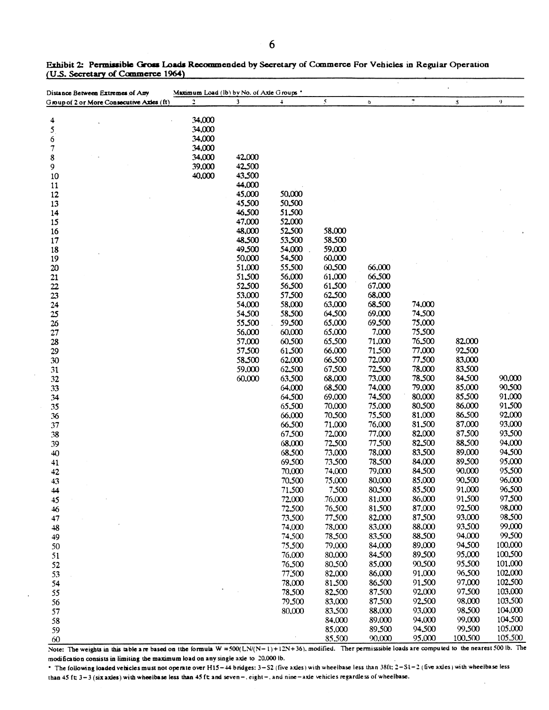| Distance Between Extremes of Any          | Maximum Load (lb) by No. of Axle Groups *<br>$\overline{a}$ | $\mathbf{3}$ | $\ddot{\phantom{1}}$ | $\mathcal{S}$ |               | $\overline{z}$ |         | $\mathbf{Q}$ |
|-------------------------------------------|-------------------------------------------------------------|--------------|----------------------|---------------|---------------|----------------|---------|--------------|
| Group of 2 or More Consecutive Axles (ft) |                                                             |              |                      |               | $\pmb{\circ}$ |                | 3       |              |
| 4                                         | 34,000                                                      |              |                      |               |               |                |         |              |
| 5 <sub>1</sub>                            | 34,000                                                      |              |                      |               |               |                |         |              |
| 6                                         | 34,000                                                      |              |                      |               |               |                |         |              |
| 7                                         | 34,000                                                      |              |                      |               |               |                |         |              |
| 8                                         | 34,000                                                      | 42,000       |                      |               |               |                |         |              |
| 9                                         | 39,000                                                      | 42.500       |                      |               |               |                |         |              |
| 10                                        | 40,000                                                      | 43,500       |                      |               |               |                |         |              |
| 11                                        |                                                             | 44,000       |                      |               |               |                |         |              |
| 12                                        |                                                             | 45,000       | 50,000               |               |               |                |         |              |
| 13                                        |                                                             | 45,500       | 50.500               |               |               |                |         |              |
| 14                                        |                                                             | 46,500       | 51.500               |               |               |                |         |              |
| 15                                        |                                                             | 47,000       | 52,000               |               |               |                |         |              |
| 16                                        |                                                             | 48,000       | 52.500               | 58,000        |               |                |         |              |
| 17                                        |                                                             | 48,500       | 53,500               | 58,500        |               |                |         |              |
| 18                                        |                                                             | 49,500       | 54,000               | 59,000        |               |                |         |              |
| 19                                        |                                                             | 50,000       | 54,500               | 60,000        |               |                |         |              |
| 20                                        |                                                             | 51,000       | 55.500               | 60,500        | 66,000        |                |         |              |
| 21                                        |                                                             | 51.500       | 56,000               | 61,000        | 66,500        |                |         |              |
| $22\,$                                    |                                                             | 52.500       | 56.500               | 61.500        | 67,000        |                |         |              |
| 23                                        |                                                             | 53,000       | 57,500               | 62.500        | 68,000        |                |         |              |
| 24                                        |                                                             | 54,000       | 58,000               | 63,000        | 68.500        | 74,000         |         |              |
| 25                                        |                                                             | 54,500       | 58,500               | 64,500        | 69,000        | 74.500         |         |              |
| 26                                        |                                                             | 55,500       | 59.500               | 65,000        | 69.500        | 75,000         |         |              |
| 27                                        |                                                             | 56,000       | 60,000               | 65,000        | 7,000         | 75,500         |         |              |
| 28                                        |                                                             | 57,000       | 60.500               | 65.500        | 71,000        | 76.500         | 82,000  |              |
| 29                                        |                                                             | 57,500       | 61.500               | 66,000        | 71.500        | 77,000         | 92.500  |              |
| 30                                        |                                                             | 58.500       | 62,000               | 66,500        | 72,000        | 77,500         | 83,000  |              |
| 31                                        |                                                             | 59,000       | 62.500               | 67,500        | 72.500        | 78,000         | 83,500  |              |
| 32                                        |                                                             | 60,000       | 63.500               | 68,000        | 73,000        | 78.500         | 84,500  | 90,000       |
| 33                                        |                                                             |              | 64,000               | 68.500        | 74,000        | 79,000         | 85,000  | 90.500       |
| 34                                        |                                                             |              | 64.500               | 69,000        | 74.500        | 80,000         | 85.500  | 91,000       |
| 35                                        |                                                             |              | 65.500               | 70,000        | 75,000        | 80,500         | 86,000  | 91.500       |
| 36                                        |                                                             |              | 66,000               | 70.500        | 75.500        | 81,000         | 86.500  | 92,000       |
| 37                                        |                                                             |              | 66.500               | 71.000        | 76,000        | 81.500         | 87,000  | 93,000       |
| 38                                        |                                                             |              | 67,500               | 72,000        | 77,000        | 82,000         | 87,500  | 93,500       |
| 39                                        |                                                             |              | 68,000               | 72.500        | 77.500        | 82.500         | 88.500  | 94,000       |
| 40                                        |                                                             |              | 68.500               | 73,000        | 78,000        | 83.500         | 89,000  | 94,500       |
| 41                                        |                                                             |              | 69.500               | 73.500        | 78,500        | 84,000         | 89,500  | 95,000       |
| 42                                        |                                                             |              | 70,000               | 74,000        | 79,000        | 84.500         | 90,000  | 95,500       |
| 43                                        |                                                             |              | 70,500               | 75,000        | 80,000        | 85,000         | 90,500  | 96,000       |
| 44                                        |                                                             |              | 71,500               | 7.500         | 80,500        | 85,500         | 91,000  | 96,500       |
| 45                                        |                                                             |              | 72,000               | .76,000       | 81,000        | 86,000         | 91,500  | 97,500       |
| 46                                        |                                                             |              | 72.500               | 76,500        | 81,500        | 87,000         | 92.500  | 98,000       |
| 47                                        |                                                             |              | 73.500               | 77.500        | 82,000        | 87.500         | 93,000  | 98.500       |
| 48                                        |                                                             |              | 74,000               | 78,000        | 83,000        | 88,000         | 93,500  | 99,000       |
| 49                                        |                                                             |              | 74.500               | 78,500        | 83,500        | 88,500         | 94,000  | 99,500       |
| 50                                        |                                                             |              | 75,500               | 79,000        | 84,000        | 89,000         | 94,500  | 100,000      |
| 51                                        |                                                             |              | 76,000               | 80,000        | 84.500        | 89.500         | 95,000  | 100,500      |
| 52                                        |                                                             |              | 76,500               | 80.500        | 85,000        | 90,500         | 95,500  | 101,000      |
| 53                                        |                                                             |              | 77,500               | 82,000        | 86,000        | 91,000         | 96,500  | 102,000      |
| 54                                        |                                                             |              | 78,000               | 81.500        | 86,500        | 91.500         | 97,000  | 102,500      |
| 55                                        |                                                             |              | 78,500               | 82.500        | 87.500        | 92,000         | 97.500  | 103,000      |
| 56                                        |                                                             |              | 79.500               | 83,000        | 87.500        | 92.500         | 98,000  | 103,500      |
| 57                                        |                                                             |              | 80,000               | 83,500        | 88,000        | 93,000         | 98.500  | 104,000      |
| 58                                        |                                                             |              |                      | 84,000        | 89,000        | 94,000         | 99,000  | 104,500      |
| 59                                        |                                                             |              |                      | 85,000        | 89,500        | 94,500         | 99,500  | 105,000      |
| 60                                        |                                                             |              |                      | 85,500        | 90,000        | 95,000         | 100,500 | 105.500      |

Exhibit 2: Permissible Gross Loads Recommended by Secretary of Commerce For Vehicles in Regular Operation (U.S. Secretary of Commerce 1964)

Note: The weights in this table are based on tthe formula  $W = 500(LN/(N-1)+12N+36)$ , modified. Ther permisssible loads are computed to the nearest 500 lb. The modification consists in limiting the maximum load on any single axle to 20,000 lb.

• The following loaded vehicles must not operate over H15-44 bridges: 3-S2 (five axles) with wheelbase less than 38ft: 2-S1-2 (five axles) with wheelbase less than 45 ft;  $3-3$  (six axles) with wheelbase less than 45 ft; and seven -, eight -, and nine - axle vehicles regardless of wheelbase.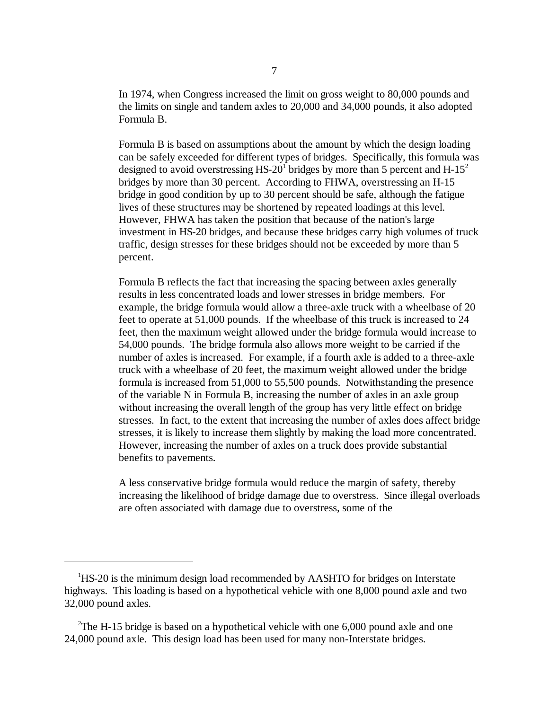In 1974, when Congress increased the limit on gross weight to 80,000 pounds and the limits on single and tandem axles to 20,000 and 34,000 pounds, it also adopted Formula B.

Formula B is based on assumptions about the amount by which the design loading can be safely exceeded for different types of bridges. Specifically, this formula was designed to avoid overstressing HS-20<sup>1</sup> bridges by more than 5 percent and  $H-15<sup>2</sup>$ bridges by more than 30 percent. According to FHWA, overstressing an H-15 bridge in good condition by up to 30 percent should be safe, although the fatigue lives of these structures may be shortened by repeated loadings at this level. However, FHWA has taken the position that because of the nation's large investment in HS-20 bridges, and because these bridges carry high volumes of truck traffic, design stresses for these bridges should not be exceeded by more than 5 percent.

Formula B reflects the fact that increasing the spacing between axles generally results in less concentrated loads and lower stresses in bridge members. For example, the bridge formula would allow a three-axle truck with a wheelbase of 20 feet to operate at 51,000 pounds. If the wheelbase of this truck is increased to 24 feet, then the maximum weight allowed under the bridge formula would increase to 54,000 pounds. The bridge formula also allows more weight to be carried if the number of axles is increased. For example, if a fourth axle is added to a three-axle truck with a wheelbase of 20 feet, the maximum weight allowed under the bridge formula is increased from 51,000 to 55,500 pounds. Notwithstanding the presence of the variable N in Formula B, increasing the number of axles in an axle group without increasing the overall length of the group has very little effect on bridge stresses. In fact, to the extent that increasing the number of axles does affect bridge stresses, it is likely to increase them slightly by making the load more concentrated. However, increasing the number of axles on a truck does provide substantial benefits to pavements.

A less conservative bridge formula would reduce the margin of safety, thereby increasing the likelihood of bridge damage due to overstress. Since illegal overloads are often associated with damage due to overstress, some of the

<sup>&</sup>lt;sup>1</sup>HS-20 is the minimum design load recommended by AASHTO for bridges on Interstate highways. This loading is based on a hypothetical vehicle with one 8,000 pound axle and two 32,000 pound axles.

<sup>&</sup>lt;sup>2</sup>The H-15 bridge is based on a hypothetical vehicle with one 6,000 pound axle and one 24,000 pound axle. This design load has been used for many non-Interstate bridges.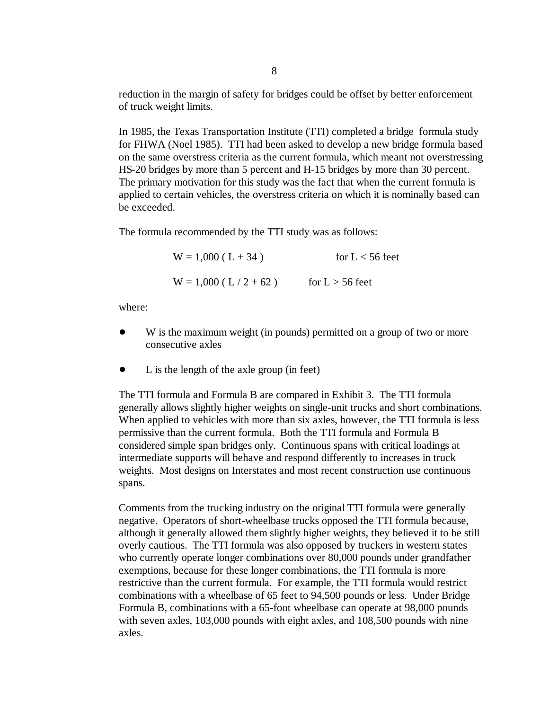reduction in the margin of safety for bridges could be offset by better enforcement of truck weight limits.

In 1985, the Texas Transportation Institute (TTI) completed a bridge formula study for FHWA (Noel 1985). TTI had been asked to develop a new bridge formula based on the same overstress criteria as the current formula, which meant not overstressing HS-20 bridges by more than 5 percent and H-15 bridges by more than 30 percent. The primary motivation for this study was the fact that when the current formula is applied to certain vehicles, the overstress criteria on which it is nominally based can be exceeded.

The formula recommended by the TTI study was as follows:

 $W = 1,000$  (L + 34) for L < 56 feet  $W = 1,000$  (L / 2 + 62) for L > 56 feet

where:

- W is the maximum weight (in pounds) permitted on a group of two or more consecutive axles
- L is the length of the axle group (in feet)

The TTI formula and Formula B are compared in Exhibit 3. The TTI formula generally allows slightly higher weights on single-unit trucks and short combinations. When applied to vehicles with more than six axles, however, the TTI formula is less permissive than the current formula. Both the TTI formula and Formula B considered simple span bridges only. Continuous spans with critical loadings at intermediate supports will behave and respond differently to increases in truck weights. Most designs on Interstates and most recent construction use continuous spans.

Comments from the trucking industry on the original TTI formula were generally negative. Operators of short-wheelbase trucks opposed the TTI formula because, although it generally allowed them slightly higher weights, they believed it to be still overly cautious. The TTI formula was also opposed by truckers in western states who currently operate longer combinations over 80,000 pounds under grandfather exemptions, because for these longer combinations, the TTI formula is more restrictive than the current formula. For example, the TTI formula would restrict combinations with a wheelbase of 65 feet to 94,500 pounds or less. Under Bridge Formula B, combinations with a 65-foot wheelbase can operate at 98,000 pounds with seven axles, 103,000 pounds with eight axles, and 108,500 pounds with nine axles.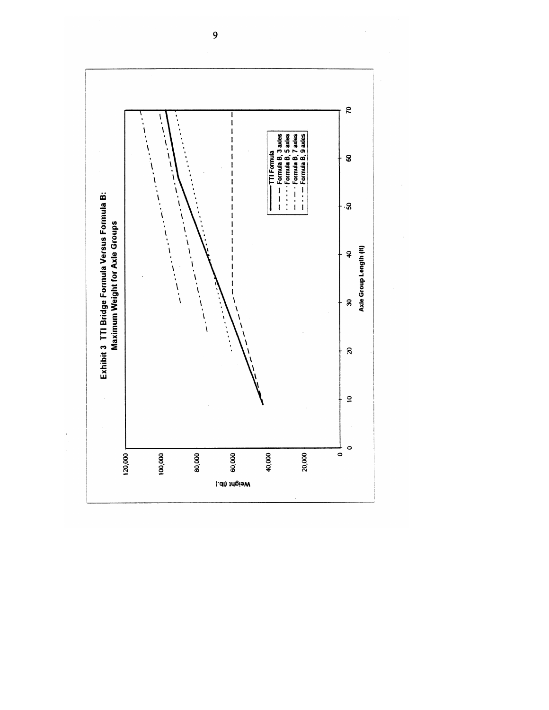

 $\mathcal{L}_{\mathcal{L}}$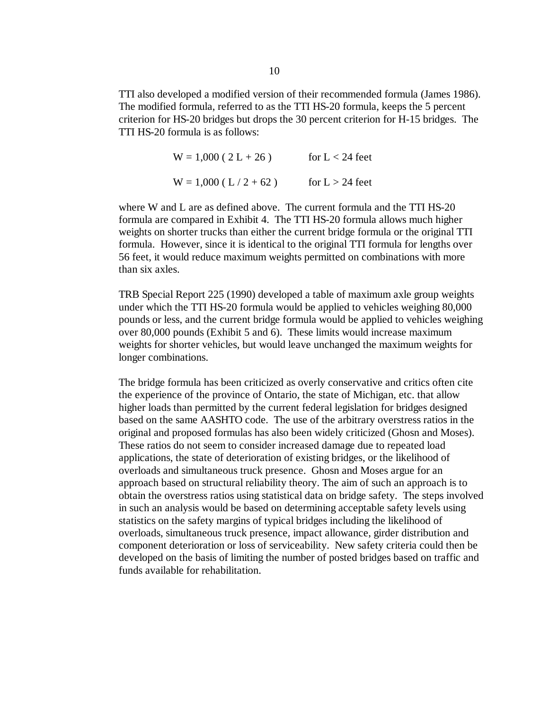TTI also developed a modified version of their recommended formula (James 1986). The modified formula, referred to as the TTI HS-20 formula, keeps the 5 percent criterion for HS-20 bridges but drops the 30 percent criterion for H-15 bridges. The TTI HS-20 formula is as follows:

> $W = 1,000 (2 L + 26)$  for  $L < 24$  feet  $W = 1,000$  (L / 2 + 62) for L > 24 feet

where W and L are as defined above. The current formula and the TTI HS-20 formula are compared in Exhibit 4. The TTI HS-20 formula allows much higher weights on shorter trucks than either the current bridge formula or the original TTI formula. However, since it is identical to the original TTI formula for lengths over 56 feet, it would reduce maximum weights permitted on combinations with more than six axles.

TRB Special Report 225 (1990) developed a table of maximum axle group weights under which the TTI HS-20 formula would be applied to vehicles weighing 80,000 pounds or less, and the current bridge formula would be applied to vehicles weighing over 80,000 pounds (Exhibit 5 and 6). These limits would increase maximum weights for shorter vehicles, but would leave unchanged the maximum weights for longer combinations.

 The bridge formula has been criticized as overly conservative and critics often cite the experience of the province of Ontario, the state of Michigan, etc. that allow higher loads than permitted by the current federal legislation for bridges designed based on the same AASHTO code. The use of the arbitrary overstress ratios in the original and proposed formulas has also been widely criticized (Ghosn and Moses). These ratios do not seem to consider increased damage due to repeated load applications, the state of deterioration of existing bridges, or the likelihood of overloads and simultaneous truck presence. Ghosn and Moses argue for an approach based on structural reliability theory. The aim of such an approach is to obtain the overstress ratios using statistical data on bridge safety. The steps involved in such an analysis would be based on determining acceptable safety levels using statistics on the safety margins of typical bridges including the likelihood of overloads, simultaneous truck presence, impact allowance, girder distribution and component deterioration or loss of serviceability. New safety criteria could then be developed on the basis of limiting the number of posted bridges based on traffic and funds available for rehabilitation.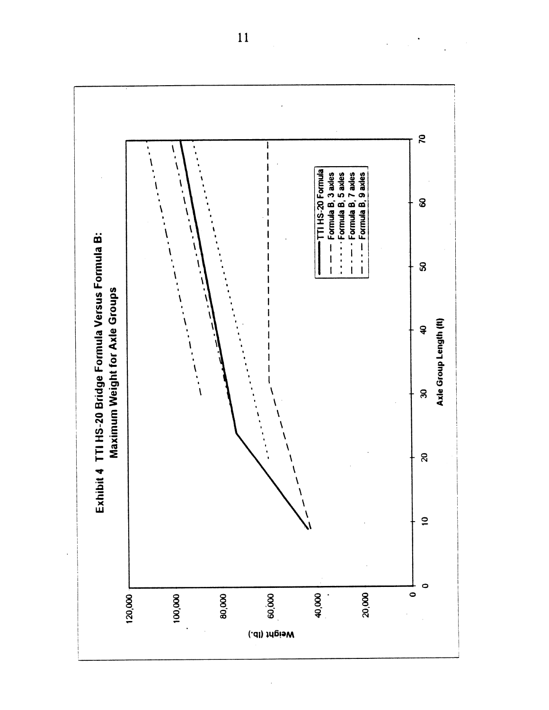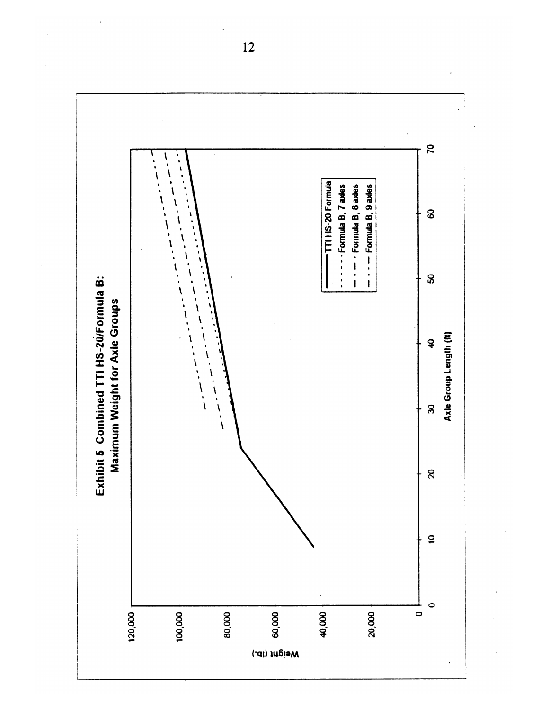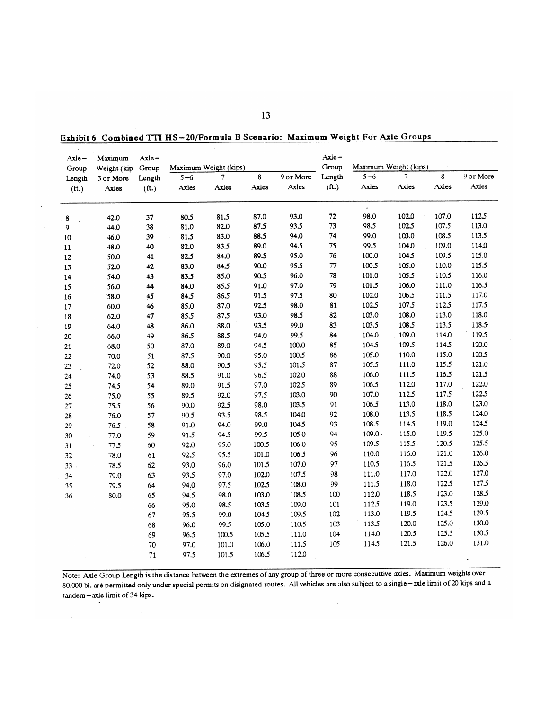| Axle –            | Maximum     | $Axie -$          |                       |              |              |              | Axle-<br>Group    |                              | Maximum Weight (kips) |         |           |
|-------------------|-------------|-------------------|-----------------------|--------------|--------------|--------------|-------------------|------------------------------|-----------------------|---------|-----------|
| Group             | Weight (kip | Group             | Maximum Weight (kips) |              |              |              |                   | $5 - 6$                      | 7                     | $\bf 8$ | 9 or More |
| Length            | 3 or More   | Length            | $5 - 6$               | 7            | $\bf8$       | 9 or More    | Length            |                              | Axies                 | Axles   | Axles     |
| (f <sup>t</sup> ) | Axles       | (f <sup>t</sup> ) | Axles                 | Axles        | Axles        | Axles        | (f <sup>t</sup> ) | Axles                        |                       |         |           |
|                   |             |                   |                       |              |              |              |                   | $\ddot{\phantom{a}}$<br>98.0 | 102.0                 | 107.0   | 1125      |
| 8                 | 42.0        | 37                | 80.5                  | 81.5         | 87.0<br>87.5 | 93.0<br>93.5 | 72<br>73          | 98.5                         | 102.5                 | 107.5   | 113.0     |
| 9                 | 44.0        | 38                | 81.0                  | 82.0         | 88.5         | 94.0         | 74                | 99.0                         | 103.0                 | 108.5   | 113.5     |
| 10                | 46.0        | 39                | 81.5                  | 83.0<br>83.5 | 89.0         | 94.5         | 75                | 99.5                         | 104.0                 | 109.0   | 114.0     |
| 11                | 48.0        | 40                | 82.0                  |              | 89.5         | 95.0         | 76                | 100.0                        | 104.5                 | 109.5   | 115.0     |
| $12\,$            | 50.0        | 41                | 82.5                  | 84.0         |              | 95.5         | $77\,$            | 100.5                        | 105.0                 | 110.0   | 115.5     |
| 13                | 52.0        | 42                | 83.0                  | 84.5         | 90.0         | 96.0         | 78                | 101.0                        | 105.5                 | 110.5   | 116.0     |
| 14                | 54.0        | 43                | 83.5                  | 85.0         | 90.5         |              | 79                | 101.5                        | 106.0                 | 111.0   | 116.5     |
| 15                | 56.0        | 44                | 84.0                  | 85.5         | 91.0         | 97.0         |                   |                              |                       |         | 117.0     |
| 16                | 58.0        | 45                | 84.5                  | 86.5         | 91.5         | 97.5         | 80                | 102.0                        | 106.5                 | 111.5   |           |
| 17                | 60.0        | 46                | 85.0                  | 87.0         | 92.5         | 98.0         | 81                | 102.5                        | 107.5                 | 112.5   | 117.5     |
| 18                | 62.0        | 47                | 85.5                  | 87.5         | 93.0         | 98.5         | 82                | 103.0                        | 108.0                 | 113.0   | 118.0     |
| $19\,$            | 64.0        | 48                | 86.0                  | 88.0         | 93.5         | 99.0         | 83                | 103.5                        | 108.5                 | 113.5   | 118.5     |
| 20                | 66.0        | 49                | 86.5                  | 88.5         | 94.0         | 99.5         | 84                | 104.0                        | 109.0                 | 114.0   | 119.5     |
| 21                | 68.0        | 50                | 87.0                  | 89.0         | 94.5         | 100.0        | 85                | 104.5                        | 109.5                 | 1145    | 120.0     |
| $2\sqrt{2}$       | 70.0        | 51                | 87.5                  | 90.0         | 95.0         | 100.5        | 86                | 105.0                        | 110.0                 | 115.0   | 120.5     |
| 23                | 72.0        | 52                | 88.0                  | 90.5         | 95.5         | 101.5        | 87                | 105.5                        | 111.0                 | 115.5   | 121.0     |
| 24                | 74.0        | 53                | 88.5                  | 91.0         | 96.5         | 102.0        | 88                | 106.0                        | 111.5                 | 116.5   | 121.5     |
| 25                | 74.5        | 54                | 89.0                  | 91.5         | 97.0         | 102.5        | 89                | 106.5                        | 112.0                 | 117.0   | 122.0     |
| $26\,$            | 75.0        | 55                | 89.5                  | 92.0         | 97.5         | 103.0        | 90                | 107.0                        | 1125                  | 117.5   | 122.5     |
| ${\bf 27}$        | 75.5        | 56                | 90.0                  | 92.5         | 98.0         | 103.5        | 91                | 106.5                        | 113.0                 | 118.0   | 123.0     |
| 28                | 76.0        | 57                | 90.5                  | 93.5         | 98.5         | 104.0        | 92                | 108.0                        | 113.5                 | 118.5   | 124.0     |
| 29                | $76.5$ .    | 58                | 91.0                  | 94.0         | 99.0         | 104.5        | 93                | 108.5                        | 1145                  | 119.0   | 124.5     |
| 30                | 77.0        | 59                | 91.5                  | 94.5         | 99.5         | 105.0        | 94                | $109.0 \cdot$                | 115.0                 | 119.5   | 125.0     |
| 31                | 77.5        | 60                | 92.0                  | 95.0         | 100.5        | 106.0        | 95                | 109.5                        | 115.5                 | 120.5   | 125.5     |
| 32                | 78.0        | 61                | 92.5                  | 95.5         | 101.0        | 106.5        | 96                | 110.0                        | 116.0                 | 121.0   | 126.0     |
| 33.               | 78.5        | 62                | 93.0                  | 96.0         | 101.5        | 107.0        | 97                | 110.5                        | 116.5                 | 121.5   | 126.5     |
| 34                | 79.0        | 63                | 93.5                  | 97.0         | 102.0        | 107.5        | 98                | 111.0                        | 117.0                 | 122.0   | 127.0     |
| 35                | 79.5        | 64                | 94.0                  | 97.5         | 102.5        | 108.0        | 99                | 111.5                        | 118.0                 | 122.5   | 127.5     |
| 36                | 80.0        | 65                | 94.5                  | 98.0         | 103.0        | 108.5        | 100               | 112.0                        | 118.5                 | 123.0   | 128.5     |
|                   |             | 66                | 95.0                  | 98.5         | 103.5        | 109.0        | 101               | 112.5                        | 119.0                 | 123.5   | 129.0     |
|                   |             | 67                | 95.5                  | 99.0         | 104.5        | 109.5        | 102               | 113.0                        | 119.5                 | 124.5   | 129.5     |
|                   |             | 68                | 96.0                  | 99.5         | 105.0        | 110.5        | 103               | 113.5                        | 120.0                 | 125.0   | 130.0     |
|                   |             | 69                | 96.5                  | 100.5        | 105.5        | 111.0        | 104               | 114.0                        | 120.5                 | 125.5   | 130.5     |
|                   |             | 70                | 97.0                  | 101.0        | 106.0        | 111.5        | 105               | 114.5                        | 121.5                 | 126.0   | 131.0     |
|                   |             | ${\bf 71}$        | 97.5                  | 101.5        | 106.5        | 112.0        |                   |                              |                       |         |           |
|                   |             |                   |                       |              |              |              |                   |                              |                       |         |           |

Exhibit 6 Combined TTI HS-20/Formula B Scenario: Maximum Weight For Axle Groups

Note: Axle Group Length is the distance between the extremes of any group of three or more consecuttive axles. Maximum weights over 80,000 bl. are permitted only under special permits on disignated routes. All vehicles are also subject to a single-axle limit of 20 kips and a tandem-axle limit of 34 kips.  $\overline{\phantom{a}}$  $\sim$ 

 $\sim$ 

 $\hat{\boldsymbol{\beta}}$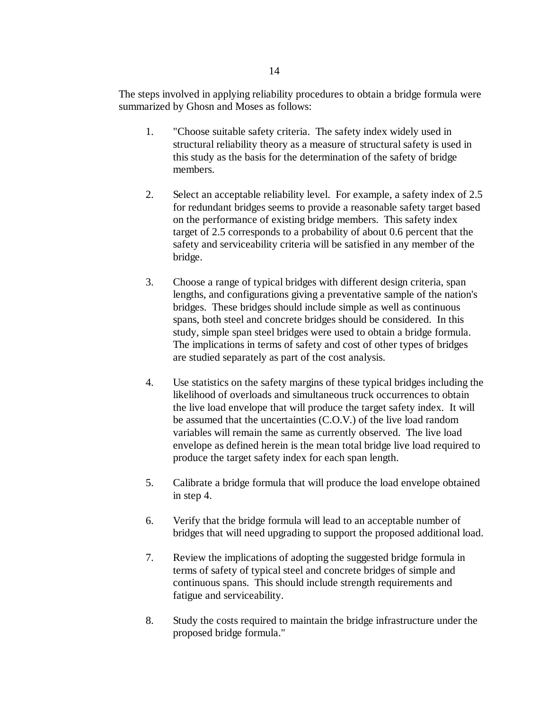The steps involved in applying reliability procedures to obtain a bridge formula were summarized by Ghosn and Moses as follows:

- 1. "Choose suitable safety criteria. The safety index widely used in structural reliability theory as a measure of structural safety is used in this study as the basis for the determination of the safety of bridge members.
- 2. Select an acceptable reliability level. For example, a safety index of 2.5 for redundant bridges seems to provide a reasonable safety target based on the performance of existing bridge members. This safety index target of 2.5 corresponds to a probability of about 0.6 percent that the safety and serviceability criteria will be satisfied in any member of the bridge.
- 3. Choose a range of typical bridges with different design criteria, span lengths, and configurations giving a preventative sample of the nation's bridges. These bridges should include simple as well as continuous spans, both steel and concrete bridges should be considered. In this study, simple span steel bridges were used to obtain a bridge formula. The implications in terms of safety and cost of other types of bridges are studied separately as part of the cost analysis.
- 4. Use statistics on the safety margins of these typical bridges including the likelihood of overloads and simultaneous truck occurrences to obtain the live load envelope that will produce the target safety index. It will be assumed that the uncertainties (C.O.V.) of the live load random variables will remain the same as currently observed. The live load envelope as defined herein is the mean total bridge live load required to produce the target safety index for each span length.
- 5. Calibrate a bridge formula that will produce the load envelope obtained in step 4.
- 6. Verify that the bridge formula will lead to an acceptable number of bridges that will need upgrading to support the proposed additional load.
- 7. Review the implications of adopting the suggested bridge formula in terms of safety of typical steel and concrete bridges of simple and continuous spans. This should include strength requirements and fatigue and serviceability.
- 8. Study the costs required to maintain the bridge infrastructure under the proposed bridge formula."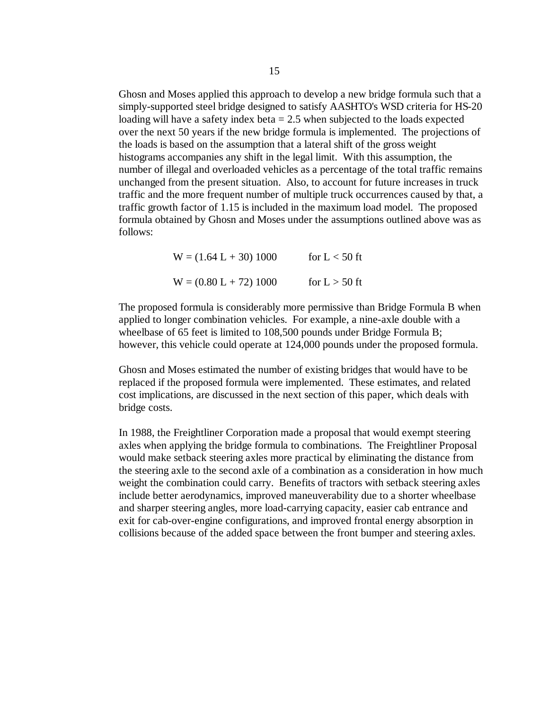Ghosn and Moses applied this approach to develop a new bridge formula such that a simply-supported steel bridge designed to satisfy AASHTO's WSD criteria for HS-20 loading will have a safety index beta  $= 2.5$  when subjected to the loads expected over the next 50 years if the new bridge formula is implemented. The projections of the loads is based on the assumption that a lateral shift of the gross weight histograms accompanies any shift in the legal limit. With this assumption, the number of illegal and overloaded vehicles as a percentage of the total traffic remains unchanged from the present situation. Also, to account for future increases in truck traffic and the more frequent number of multiple truck occurrences caused by that, a traffic growth factor of 1.15 is included in the maximum load model. The proposed formula obtained by Ghosn and Moses under the assumptions outlined above was as follows:

> $W = (1.64 L + 30) 1000$  for  $L < 50$  ft  $W = (0.80 L + 72) 1000$  for  $L > 50$  ft

The proposed formula is considerably more permissive than Bridge Formula B when applied to longer combination vehicles. For example, a nine-axle double with a wheelbase of 65 feet is limited to 108,500 pounds under Bridge Formula B; however, this vehicle could operate at 124,000 pounds under the proposed formula.

Ghosn and Moses estimated the number of existing bridges that would have to be replaced if the proposed formula were implemented. These estimates, and related cost implications, are discussed in the next section of this paper, which deals with bridge costs.

In 1988, the Freightliner Corporation made a proposal that would exempt steering axles when applying the bridge formula to combinations. The Freightliner Proposal would make setback steering axles more practical by eliminating the distance from the steering axle to the second axle of a combination as a consideration in how much weight the combination could carry. Benefits of tractors with setback steering axles include better aerodynamics, improved maneuverability due to a shorter wheelbase and sharper steering angles, more load-carrying capacity, easier cab entrance and exit for cab-over-engine configurations, and improved frontal energy absorption in collisions because of the added space between the front bumper and steering axles.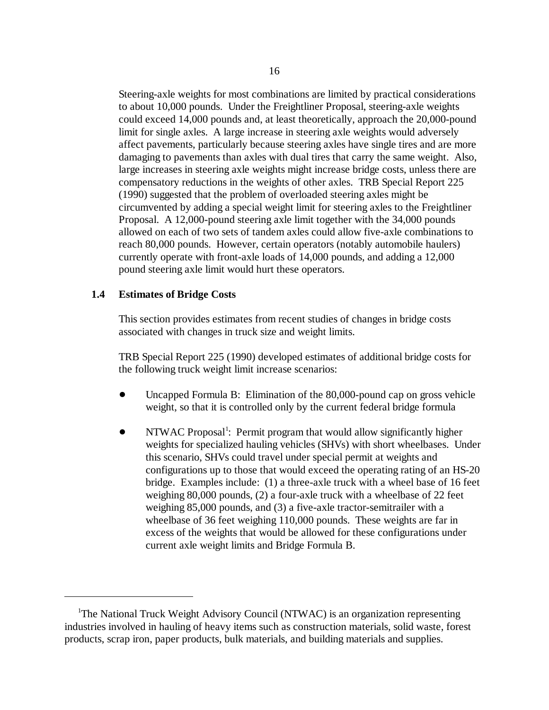Steering-axle weights for most combinations are limited by practical considerations to about 10,000 pounds. Under the Freightliner Proposal, steering-axle weights could exceed 14,000 pounds and, at least theoretically, approach the 20,000-pound limit for single axles. A large increase in steering axle weights would adversely affect pavements, particularly because steering axles have single tires and are more damaging to pavements than axles with dual tires that carry the same weight. Also, large increases in steering axle weights might increase bridge costs, unless there are compensatory reductions in the weights of other axles. TRB Special Report 225 (1990) suggested that the problem of overloaded steering axles might be circumvented by adding a special weight limit for steering axles to the Freightliner Proposal. A 12,000-pound steering axle limit together with the 34,000 pounds allowed on each of two sets of tandem axles could allow five-axle combinations to reach 80,000 pounds. However, certain operators (notably automobile haulers) currently operate with front-axle loads of 14,000 pounds, and adding a 12,000 pound steering axle limit would hurt these operators.

#### **1.4 Estimates of Bridge Costs**

This section provides estimates from recent studies of changes in bridge costs associated with changes in truck size and weight limits.

TRB Special Report 225 (1990) developed estimates of additional bridge costs for the following truck weight limit increase scenarios:

- Uncapped Formula B: Elimination of the 80,000-pound cap on gross vehicle weight, so that it is controlled only by the current federal bridge formula
- NTWAC Proposal<sup>1</sup>: Permit program that would allow significantly higher weights for specialized hauling vehicles (SHVs) with short wheelbases. Under this scenario, SHVs could travel under special permit at weights and configurations up to those that would exceed the operating rating of an HS-20 bridge. Examples include: (1) a three-axle truck with a wheel base of 16 feet weighing 80,000 pounds, (2) a four-axle truck with a wheelbase of 22 feet weighing 85,000 pounds, and (3) a five-axle tractor-semitrailer with a wheelbase of 36 feet weighing 110,000 pounds. These weights are far in excess of the weights that would be allowed for these configurations under current axle weight limits and Bridge Formula B.

<sup>&</sup>lt;sup>1</sup>The National Truck Weight Advisory Council (NTWAC) is an organization representing industries involved in hauling of heavy items such as construction materials, solid waste, forest products, scrap iron, paper products, bulk materials, and building materials and supplies.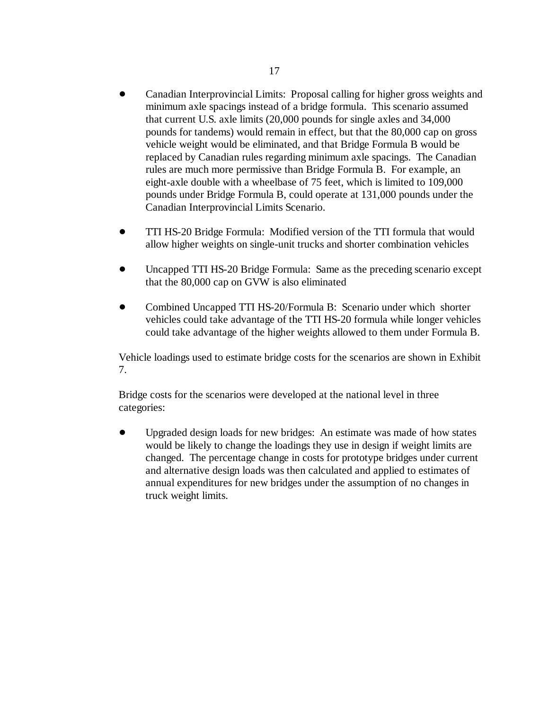- Canadian Interprovincial Limits: Proposal calling for higher gross weights and minimum axle spacings instead of a bridge formula. This scenario assumed that current U.S. axle limits (20,000 pounds for single axles and 34,000 pounds for tandems) would remain in effect, but that the 80,000 cap on gross vehicle weight would be eliminated, and that Bridge Formula B would be replaced by Canadian rules regarding minimum axle spacings. The Canadian rules are much more permissive than Bridge Formula B. For example, an eight-axle double with a wheelbase of 75 feet, which is limited to 109,000 pounds under Bridge Formula B, could operate at 131,000 pounds under the Canadian Interprovincial Limits Scenario.
- TTI HS-20 Bridge Formula: Modified version of the TTI formula that would allow higher weights on single-unit trucks and shorter combination vehicles
- Uncapped TTI HS-20 Bridge Formula: Same as the preceding scenario except that the 80,000 cap on GVW is also eliminated
- Combined Uncapped TTI HS-20/Formula B: Scenario under which shorter vehicles could take advantage of the TTI HS-20 formula while longer vehicles could take advantage of the higher weights allowed to them under Formula B.

Vehicle loadings used to estimate bridge costs for the scenarios are shown in Exhibit 7.

Bridge costs for the scenarios were developed at the national level in three categories:

 Upgraded design loads for new bridges: An estimate was made of how states would be likely to change the loadings they use in design if weight limits are changed. The percentage change in costs for prototype bridges under current and alternative design loads was then calculated and applied to estimates of annual expenditures for new bridges under the assumption of no changes in truck weight limits.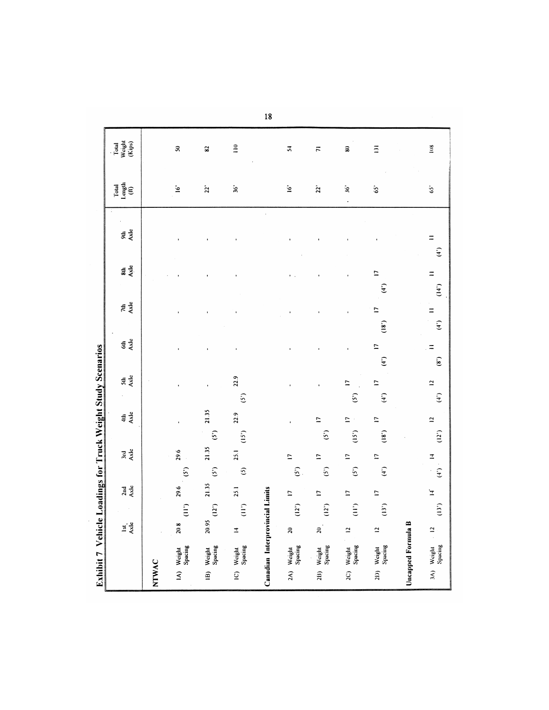|                   | Exhibit 7 Vehicle Loadings for Truck Weight Study Scenarios |                  |                  |                |               |                          |      |                         |               |                          |                                  |             |                       |           |                |                       |                         |                           |
|-------------------|-------------------------------------------------------------|------------------|------------------|----------------|---------------|--------------------------|------|-------------------------|---------------|--------------------------|----------------------------------|-------------|-----------------------|-----------|----------------|-----------------------|-------------------------|---------------------------|
|                   |                                                             | Ist <sub>2</sub> |                  | 2nd<br>Axle    |               | 3rd<br>Axle              |      | Axle<br>$\frac{4}{3}$   |               | Axle<br>5th              |                                  | $rac{4}{2}$ | $74$<br>$\frac{3}{2}$ |           | Axle<br>$\sin$ | a<br>Sã               | Total<br>Length<br>(ft) | Total<br>Weight<br>(Kips) |
| NTWAC             |                                                             |                  |                  |                |               |                          |      |                         |               |                          |                                  |             |                       |           |                |                       |                         |                           |
|                   | 1A) Weight<br>Spacing                                       | 20.8             | $\sum_{i=1}^{n}$ | 29.6           | (5)           | 29.6                     |      |                         |               |                          |                                  |             |                       |           |                |                       | $\mathbf{\hat{e}}$      | $\overline{\mathbf{a}}$   |
| $\widehat{B}$     | Weight<br>Spacing                                           | 20.95            | $(12^{3})$       | 21.35          | $\hat{c}$     | 21.35                    | (5)  | 21.35                   |               |                          |                                  |             |                       |           |                |                       | $22$ <sup>*</sup>       | 82                        |
| $\tilde{c}$       | Weight<br>Spacing                                           | $\overline{1}$   | $\hat{H}$        | 25.1           | $\tilde{c}$   | 25.1                     | (15) | 22.9                    | (5)           | 22.9                     |                                  |             |                       |           |                |                       | $36^{\circ}$            | $\frac{1}{2}$             |
|                   | Canadian Interprovincial Limits                             |                  |                  |                |               |                          |      |                         |               |                          |                                  |             |                       |           |                |                       |                         |                           |
|                   | 2A) Weight<br>Spacing                                       | $\overline{a}$   | (12)             | $\overline{a}$ | $\hat{S}$     | $\overline{\phantom{0}}$ |      |                         |               |                          |                                  |             |                       |           |                |                       | $\mathbf{\hat{S}}$      | $\boldsymbol{\pi}$        |
| 2B                | Weight<br>Spacing                                           | $\overline{a}$   | (12)             | $\overline{z}$ | (5)           | $\overline{a}$           | (5)  | $\overline{a}$          |               |                          |                                  |             |                       |           |                |                       | 2 <sup>2</sup>          | $\overline{r}$            |
| $\overline{2}$ C) | Weight<br>Spacing                                           | $\overline{a}$   | $\sum_{i=1}^{n}$ | $\Box$         | (5)           | $\overline{\phantom{0}}$ | (15) | $\overline{a}$          | (5)           | $\overline{\phantom{0}}$ |                                  |             |                       |           |                |                       | $\mathfrak{s}$          | $\bf{3}$                  |
|                   | 21) Weight<br>Spacing                                       | $\overline{a}$   | (13)             | $\overline{a}$ | $\hat{t}$     | $\overline{c}$           | (18) | $\overline{a}$          | $\widehat{f}$ | $\overline{\phantom{0}}$ | $\overline{a}$<br>$\mathfrak{t}$ | (18)        | $\overline{a}$        | $\hat{f}$ | $\overline{a}$ |                       | $65^{\circ}$            | $\overline{a}$            |
|                   | <b>Uncapped Formula B</b>                                   |                  |                  |                |               |                          |      |                         |               |                          |                                  |             |                       |           |                |                       |                         |                           |
|                   | 3A) Weight<br>Spacing                                       | $\frac{12}{1}$   | (13)             | $\Xi$          | $\frac{1}{2}$ | $\overline{z}$           | (12) | $\overline{\mathbf{c}}$ | $\hat{t}$     | $\simeq$                 | Ξ<br>$\mathbf{e}$                | $\hat{f}$   | $\equiv$              | (14)      | $\equiv$       | $\equiv$<br>$\hat{f}$ | $65^{\circ}$            | 108                       |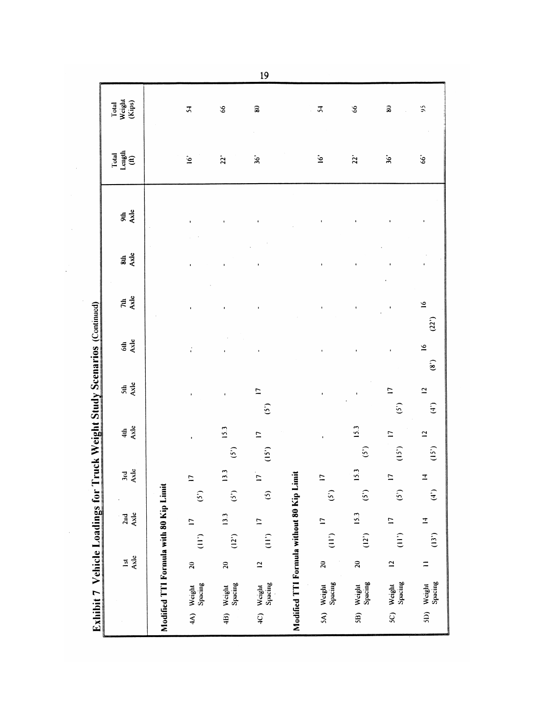Total<br>Weight<br>(Kips)  $\overline{z}$  $\delta$  $\mathbf{30}$  $\mathfrak{z}$  $\delta$  $\bf{a}$  $\mathfrak{S}$ Total<br>Length<br>(ft)  $\mathbf{\dot{g}}$  $2^{3}$  $\ddot{\bm{36}}$  $\dot{\underline{\mathsf{S}}}$  $\mathbf{z}$  $\mathbf{\hat{s}}$  $66^{\circ}$ suk<br>Axle  $\frac{4}{3}$ ï  $7th$ <br>Axle  $\tilde{\mathbf{S}}$ Exhibit 7 Vehicle Loadings for Truck Weight Study Scenarios (Continued) ï  $(22)$  $rac{4}{2}$  $\tilde{\mathbf{z}}$  $\ddot{i}$  $\overline{1}$ ï  $\mathbf{a}$  $\frac{5th}{A}$  $\overline{a}$  $\overline{\phantom{0}}$  $\overline{\mathbf{C}}$  $\ddot{\phantom{a}}$ ï  $\binom{5}{2}$  $\hat{f}$  $(5)$  $rac{4}{4}$ 15.3  $15.3$  $\overline{\phantom{0}}$  $\overline{\phantom{0}}$  $\overline{a}$ ï ï  $(5)$  $(15)$  $\hat{S}$  $(i)$  $(15)$ 3rd<br>Axle 13.3 15.3 Modified TTI Formula without 80 Kip Limit  $\overline{z}$  $\overline{a}$  $\overline{z}$  $\overline{a}$  $\overline{1}$ Modified TTI Formula with 80 Kip Limit  $\hat{S}$  $\hat{S}$  $(5)$  $(5)$  $\hat{f}$  $\odot$  $(5)$ 2nd<br>Axle 15.3  $13.3$  $\overline{\phantom{0}}$  $\overline{z}$  $\overline{\phantom{0}}$  $\overline{1}$  $\overline{\phantom{0}}$  $\sum_{i=1}^{n}$  $(12^{3})$  $\sum_{i=1}^{n}$  $\sum_{i=1}^{n}$  $(12)$  $\begin{array}{c} \n\vdots \\
\end{array}$  $(13)$  $rac{1}{4}$  $\overline{\mathbf{c}}$  $\equiv$  $\overline{20}$  $\overline{\mathbf{c}}$  $\overline{c}$  $\overline{a}$  $\mathbf{r}$ 4A) Weight<br>Spacing Weight<br>Spacing 4C) Weight<br>Spacing 5A) Weight<br>Spacing Weight<br>Spacing Weight<br>Spacing Weight<br>Spacing  $\overline{5}$  $\overline{4B}$  $\overline{5B}$  $\overline{\text{SO}}$ 

 $\hat{\mathcal{A}}$ 

 $19$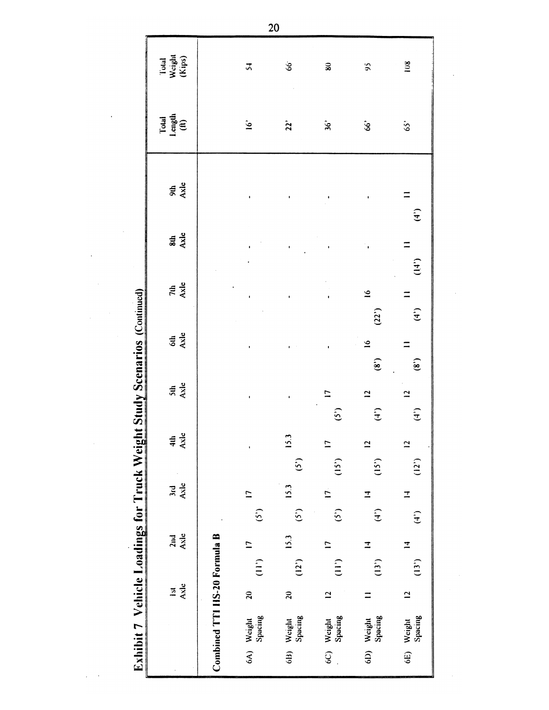|  | hibit 7 Vehicle Loadings for Truck Weight Study Scenarios (Continued) |
|--|-----------------------------------------------------------------------|
|  |                                                                       |
|  |                                                                       |
|  |                                                                       |

 $\frac{1}{2}$  ,  $\frac{1}{2}$ 

| Total<br>Length<br>(ft)<br>$\dot{9}$<br>$\ddot{\bm{\delta}}$<br>22<br>$\mathbf{\hat{s}}$<br>$65^{\circ}$<br>9th<br>Axle<br>$\equiv$<br>$\bullet$<br>$\mathbf{r}$<br><b>Sub</b><br>Axle<br>$=$<br>$\frac{7th}{A \times 1e}$<br>$\tilde{=}$<br>$\equiv$<br>ţ<br>$\mathbf{r}$<br>(22)<br>6th<br>Axle<br>$\tilde{=}$<br>$\equiv$<br>$\mathbf{r}$<br>$\mathbf{e}$<br>$rac{5th}{Axle}$<br>$\overline{1}$<br>$\overline{a}$<br>$\overline{a}$<br>ł<br>$\pmb{\cdot}$<br>(5)<br>$\begin{pmatrix} 4 \\ 7 \end{pmatrix}$<br>$rac{4th}{Axle}$<br>15.3<br>$\overline{\phantom{0}}$<br>$\overline{a}$<br>$\overline{a}$<br>$\pmb{\cdot}$<br>$\hat{S}$<br>(15)<br>(15)<br>Axle<br>15.3<br><b>Jrd</b><br>$\overline{1}$<br>$\overline{1}$<br>$\overline{u}$<br>$\Xi$<br>(5)<br>$\binom{4}{ }$<br>(5)<br>(5)<br>Axle<br>2nd<br>Combined TTI HS-20 Formula B<br>15.3<br>$\overline{\phantom{0}}$<br>$\overline{1}$<br>$\mathbf{I}$<br>$\overline{1}$<br>(12)<br>$\sum_{i=1}^{n}$<br>(13 <sup>5</sup> )<br>(11)<br>Axle<br>$\overline{\mathbf{a}}$<br>$\mathbf{c}$<br>$\mathfrak{g}$<br>$\overline{a}$<br>$\overline{a}$<br>$\equiv$ | Total<br>Weight<br>(Kips) | $\overline{5}$    | $66^{\circ}$      | $\bf{30}$         | $\mathfrak{S}$    | 108    |
|-------------------------------------------------------------------------------------------------------------------------------------------------------------------------------------------------------------------------------------------------------------------------------------------------------------------------------------------------------------------------------------------------------------------------------------------------------------------------------------------------------------------------------------------------------------------------------------------------------------------------------------------------------------------------------------------------------------------------------------------------------------------------------------------------------------------------------------------------------------------------------------------------------------------------------------------------------------------------------------------------------------------------------------------------------------------------------------------------------------------|---------------------------|-------------------|-------------------|-------------------|-------------------|--------|
| $\binom{4}{ }$                                                                                                                                                                                                                                                                                                                                                                                                                                                                                                                                                                                                                                                                                                                                                                                                                                                                                                                                                                                                                                                                                                    |                           |                   |                   |                   |                   |        |
|                                                                                                                                                                                                                                                                                                                                                                                                                                                                                                                                                                                                                                                                                                                                                                                                                                                                                                                                                                                                                                                                                                                   |                           |                   |                   |                   |                   |        |
| (4)                                                                                                                                                                                                                                                                                                                                                                                                                                                                                                                                                                                                                                                                                                                                                                                                                                                                                                                                                                                                                                                                                                               |                           |                   |                   |                   |                   |        |
|                                                                                                                                                                                                                                                                                                                                                                                                                                                                                                                                                                                                                                                                                                                                                                                                                                                                                                                                                                                                                                                                                                                   |                           |                   |                   |                   |                   | (14)   |
| $\mathbf{e}$                                                                                                                                                                                                                                                                                                                                                                                                                                                                                                                                                                                                                                                                                                                                                                                                                                                                                                                                                                                                                                                                                                      |                           |                   |                   |                   |                   |        |
| $\hat{f}$<br>(12)                                                                                                                                                                                                                                                                                                                                                                                                                                                                                                                                                                                                                                                                                                                                                                                                                                                                                                                                                                                                                                                                                                 |                           |                   |                   |                   |                   |        |
|                                                                                                                                                                                                                                                                                                                                                                                                                                                                                                                                                                                                                                                                                                                                                                                                                                                                                                                                                                                                                                                                                                                   |                           |                   |                   |                   |                   |        |
| $\mathbf{r}$                                                                                                                                                                                                                                                                                                                                                                                                                                                                                                                                                                                                                                                                                                                                                                                                                                                                                                                                                                                                                                                                                                      |                           |                   |                   |                   |                   |        |
| (13)<br>Spacing                                                                                                                                                                                                                                                                                                                                                                                                                                                                                                                                                                                                                                                                                                                                                                                                                                                                                                                                                                                                                                                                                                   |                           |                   |                   |                   |                   |        |
|                                                                                                                                                                                                                                                                                                                                                                                                                                                                                                                                                                                                                                                                                                                                                                                                                                                                                                                                                                                                                                                                                                                   |                           |                   |                   |                   |                   |        |
|                                                                                                                                                                                                                                                                                                                                                                                                                                                                                                                                                                                                                                                                                                                                                                                                                                                                                                                                                                                                                                                                                                                   |                           | Spacing<br>Weight | Spacing<br>Weight | Spacing<br>Weight | Spacing<br>Weight | Weight |

 $20<sup>°</sup>$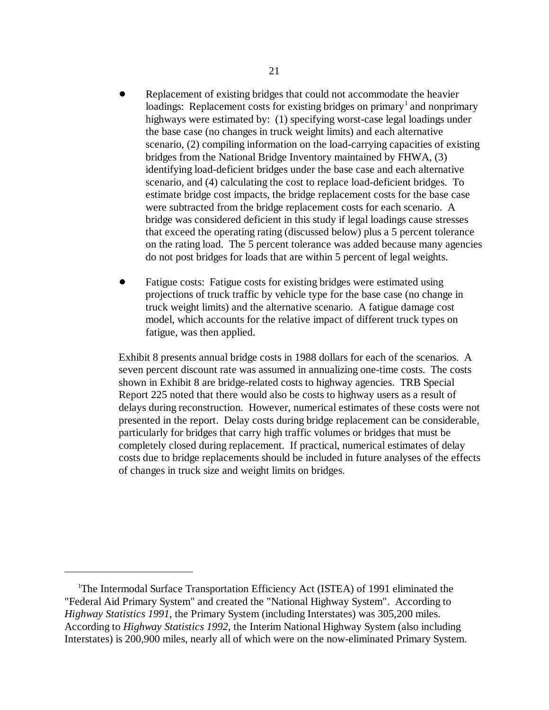- Replacement of existing bridges that could not accommodate the heavier loadings: Replacement costs for existing bridges on primary  $\alpha$  and nonprimary highways were estimated by: (1) specifying worst-case legal loadings under the base case (no changes in truck weight limits) and each alternative scenario, (2) compiling information on the load-carrying capacities of existing bridges from the National Bridge Inventory maintained by FHWA, (3) identifying load-deficient bridges under the base case and each alternative scenario, and (4) calculating the cost to replace load-deficient bridges. To estimate bridge cost impacts, the bridge replacement costs for the base case were subtracted from the bridge replacement costs for each scenario. A bridge was considered deficient in this study if legal loadings cause stresses that exceed the operating rating (discussed below) plus a 5 percent tolerance on the rating load. The 5 percent tolerance was added because many agencies do not post bridges for loads that are within 5 percent of legal weights.
- Fatigue costs: Fatigue costs for existing bridges were estimated using projections of truck traffic by vehicle type for the base case (no change in truck weight limits) and the alternative scenario. A fatigue damage cost model, which accounts for the relative impact of different truck types on fatigue, was then applied.

Exhibit 8 presents annual bridge costs in 1988 dollars for each of the scenarios. A seven percent discount rate was assumed in annualizing one-time costs. The costs shown in Exhibit 8 are bridge-related costs to highway agencies. TRB Special Report 225 noted that there would also be costs to highway users as a result of delays during reconstruction. However, numerical estimates of these costs were not presented in the report. Delay costs during bridge replacement can be considerable, particularly for bridges that carry high traffic volumes or bridges that must be completely closed during replacement. If practical, numerical estimates of delay costs due to bridge replacements should be included in future analyses of the effects of changes in truck size and weight limits on bridges.

 ${}^{1}$ The Intermodal Surface Transportation Efficiency Act (ISTEA) of 1991 eliminated the "Federal Aid Primary System" and created the "National Highway System". According to *Highway Statistics 1991*, the Primary System (including Interstates) was 305,200 miles. According to *Highway Statistics 1992*, the Interim National Highway System (also including Interstates) is 200,900 miles, nearly all of which were on the now-eliminated Primary System.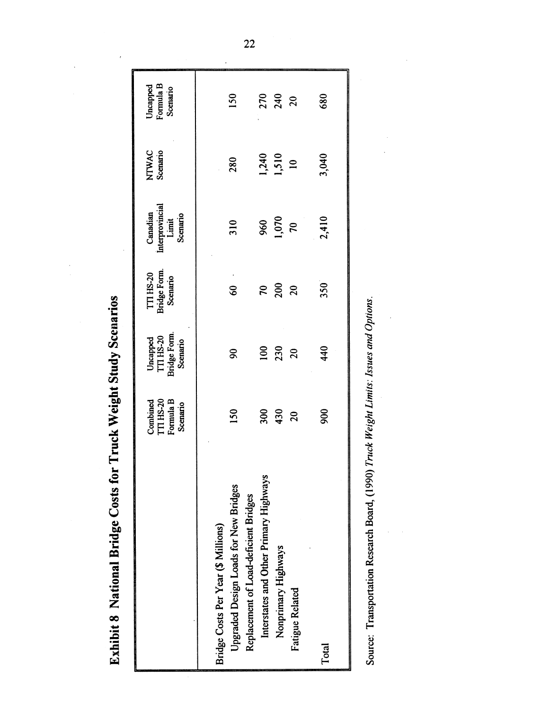| ĺ<br>Ì                  |
|-------------------------|
|                         |
| D<br>Ī                  |
| しょう はるししし<br>i<br>l     |
| ؟<br>تا                 |
| į<br>ι                  |
| D<br>j<br>$\frac{1}{2}$ |
| ׇ֠                      |

| 680                               | 3,040                | 2,410                                                   | 350                                   | 440                                                      | 800                                                   | Total                                                                          |
|-----------------------------------|----------------------|---------------------------------------------------------|---------------------------------------|----------------------------------------------------------|-------------------------------------------------------|--------------------------------------------------------------------------------|
|                                   |                      |                                                         | $\Omega$                              |                                                          | $\overline{c}$                                        | Fatigue Related                                                                |
| 270<br>240<br>20                  | 1,240<br>1,510<br>10 | $^{1,070}_{70}$                                         | 200                                   | 230<br>20                                                | 430                                                   | Nonprimary Highways                                                            |
|                                   |                      | 960                                                     | $\mathfrak{p}$                        | 100                                                      | 300                                                   | Interstates and Other Primary Highways                                         |
| <b>150</b>                        | 280                  | 310                                                     | $\frac{6}{9}$                         | $\infty$                                                 | 50                                                    | Upgraded Design Loads for New Bridges<br>Replacement of Load-deficient Bridges |
|                                   |                      |                                                         |                                       |                                                          |                                                       | Bridge Costs Per Year (\$ Millions)                                            |
| Formula B<br>Jncapped<br>Scenario | NTWAC<br>Scenario    | Interprovincial<br>Canadian<br><b>Scenario</b><br>Limit | TTI HS-20<br>Bridge Form.<br>Scenario | <b>Bridge Form.</b><br>Uncapped<br>TTI HS-20<br>Scenario | Formula B<br><b>ITI HS-20</b><br>Combined<br>Scenario |                                                                                |
|                                   |                      |                                                         |                                       |                                                          |                                                       |                                                                                |

Source: Transportation Research Board, (1990) Truck Weight Limits: Issues and Options.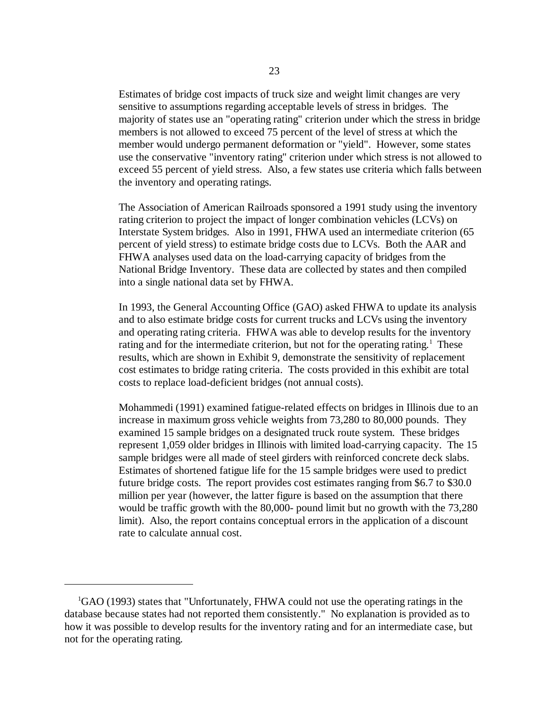Estimates of bridge cost impacts of truck size and weight limit changes are very sensitive to assumptions regarding acceptable levels of stress in bridges. The majority of states use an "operating rating" criterion under which the stress in bridge members is not allowed to exceed 75 percent of the level of stress at which the member would undergo permanent deformation or "yield". However, some states use the conservative "inventory rating" criterion under which stress is not allowed to exceed 55 percent of yield stress. Also, a few states use criteria which falls between the inventory and operating ratings.

The Association of American Railroads sponsored a 1991 study using the inventory rating criterion to project the impact of longer combination vehicles (LCVs) on Interstate System bridges. Also in 1991, FHWA used an intermediate criterion (65 percent of yield stress) to estimate bridge costs due to LCVs. Both the AAR and FHWA analyses used data on the load-carrying capacity of bridges from the National Bridge Inventory. These data are collected by states and then compiled into a single national data set by FHWA.

In 1993, the General Accounting Office (GAO) asked FHWA to update its analysis and to also estimate bridge costs for current trucks and LCVs using the inventory and operating rating criteria. FHWA was able to develop results for the inventory rating and for the intermediate criterion, but not for the operating rating.<sup>1</sup> These results, which are shown in Exhibit 9, demonstrate the sensitivity of replacement cost estimates to bridge rating criteria. The costs provided in this exhibit are total costs to replace load-deficient bridges (not annual costs).

Mohammedi (1991) examined fatigue-related effects on bridges in Illinois due to an increase in maximum gross vehicle weights from 73,280 to 80,000 pounds. They examined 15 sample bridges on a designated truck route system. These bridges represent 1,059 older bridges in Illinois with limited load-carrying capacity. The 15 sample bridges were all made of steel girders with reinforced concrete deck slabs. Estimates of shortened fatigue life for the 15 sample bridges were used to predict future bridge costs. The report provides cost estimates ranging from \$6.7 to \$30.0 million per year (however, the latter figure is based on the assumption that there would be traffic growth with the 80,000- pound limit but no growth with the 73,280 limit). Also, the report contains conceptual errors in the application of a discount rate to calculate annual cost.

 ${}^{1}$ GAO (1993) states that "Unfortunately, FHWA could not use the operating ratings in the database because states had not reported them consistently." No explanation is provided as to how it was possible to develop results for the inventory rating and for an intermediate case, but not for the operating rating.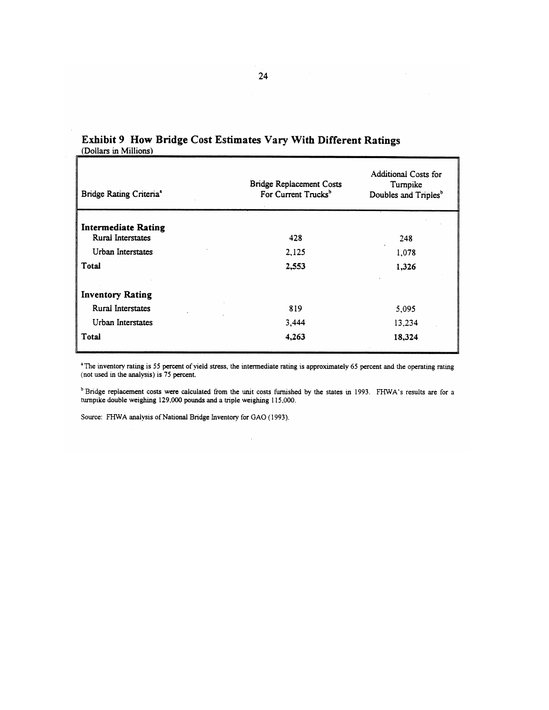| Bridge Rating Criteria <sup>a</sup> | <b>Bridge Replacement Costs</b><br>For Current Trucks <sup>b</sup> | Additional Costs for<br>Turnpike<br>Doubles and Triples <sup>b</sup> |
|-------------------------------------|--------------------------------------------------------------------|----------------------------------------------------------------------|
| <b>Intermediate Rating</b>          |                                                                    |                                                                      |
| <b>Rural Interstates</b>            | 428                                                                | 248                                                                  |
| Urban Interstates                   | 2,125                                                              | 1,078                                                                |
| Total                               | 2,553                                                              | 1,326                                                                |
|                                     |                                                                    |                                                                      |
| <b>Inventory Rating</b>             |                                                                    |                                                                      |
| Rural Interstates                   | 819                                                                | 5,095                                                                |
| Urban Interstates                   | 3,444                                                              | 13,234                                                               |
| Total                               | 4,263                                                              | 18,324                                                               |

# Exhibit 9 How Bridge Cost Estimates Vary With Different Ratings (Dollars in Millions)

<sup>a</sup>The inventory rating is 55 percent of yield stress, the intermediate rating is approximately 65 percent and the operating rating (not used in the analysis) is 75 percent.

<sup>b</sup> Bridge replacement costs were calculated from the unit costs furnished by the states in 1993. FHWA's results are for a turnpike double weighing 129,000 pounds and a triple weighing 115,000.

Source: FHWA analysis of National Bridge Inventory for GAO (1993).

 $\mathbf{r}$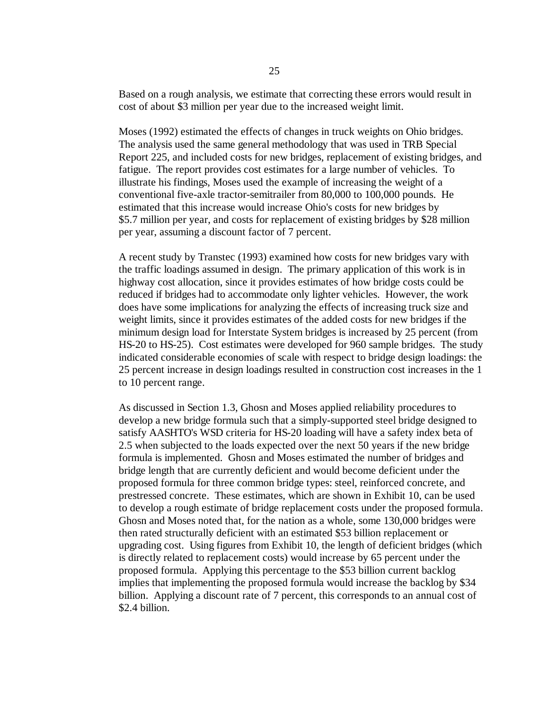Based on a rough analysis, we estimate that correcting these errors would result in cost of about \$3 million per year due to the increased weight limit.

Moses (1992) estimated the effects of changes in truck weights on Ohio bridges. The analysis used the same general methodology that was used in TRB Special Report 225, and included costs for new bridges, replacement of existing bridges, and fatigue. The report provides cost estimates for a large number of vehicles. To illustrate his findings, Moses used the example of increasing the weight of a conventional five-axle tractor-semitrailer from 80,000 to 100,000 pounds. He estimated that this increase would increase Ohio's costs for new bridges by \$5.7 million per year, and costs for replacement of existing bridges by \$28 million per year, assuming a discount factor of 7 percent.

A recent study by Transtec (1993) examined how costs for new bridges vary with the traffic loadings assumed in design. The primary application of this work is in highway cost allocation, since it provides estimates of how bridge costs could be reduced if bridges had to accommodate only lighter vehicles. However, the work does have some implications for analyzing the effects of increasing truck size and weight limits, since it provides estimates of the added costs for new bridges if the minimum design load for Interstate System bridges is increased by 25 percent (from HS-20 to HS-25). Cost estimates were developed for 960 sample bridges. The study indicated considerable economies of scale with respect to bridge design loadings: the 25 percent increase in design loadings resulted in construction cost increases in the 1 to 10 percent range.

As discussed in Section 1.3, Ghosn and Moses applied reliability procedures to develop a new bridge formula such that a simply-supported steel bridge designed to satisfy AASHTO's WSD criteria for HS-20 loading will have a safety index beta of 2.5 when subjected to the loads expected over the next 50 years if the new bridge formula is implemented. Ghosn and Moses estimated the number of bridges and bridge length that are currently deficient and would become deficient under the proposed formula for three common bridge types: steel, reinforced concrete, and prestressed concrete. These estimates, which are shown in Exhibit 10, can be used to develop a rough estimate of bridge replacement costs under the proposed formula. Ghosn and Moses noted that, for the nation as a whole, some 130,000 bridges were then rated structurally deficient with an estimated \$53 billion replacement or upgrading cost. Using figures from Exhibit 10, the length of deficient bridges (which is directly related to replacement costs) would increase by 65 percent under the proposed formula. Applying this percentage to the \$53 billion current backlog implies that implementing the proposed formula would increase the backlog by \$34 billion. Applying a discount rate of 7 percent, this corresponds to an annual cost of \$2.4 billion.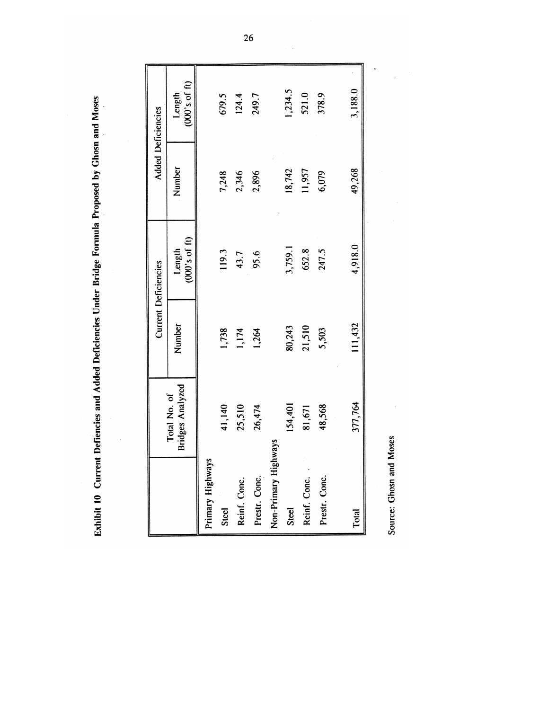Exhibit 10 Current Defiencies and Added Deficiencies Under Bridge Formula Proposed by Ghosn and Moses

 $\hat{\boldsymbol{\beta}}$ 

|                      |                                         |         | <b>Current Deficiencies</b> |        | <b>Added Deficiencies</b> |
|----------------------|-----------------------------------------|---------|-----------------------------|--------|---------------------------|
|                      | <b>Bridges Analyzed</b><br>Total No. of | Number  | $(000's$ of ft)<br>Length   | Number | $(000's$ of ft)<br>Length |
| Primary Highways     |                                         |         |                             |        |                           |
| Steel                | 41,140                                  | 1,738   | 119.3                       | 7,248  | 679.5                     |
| Reinf. Conc.         | 25,510                                  | 1,174   | 43.7                        | 2,346  | 124.4                     |
| Prestr. Conc.        | 26,474                                  | 1,264   | 95.6                        | 2,896  | 249.7                     |
| Non-Primary Highways |                                         |         |                             |        |                           |
| Steel                | 154,401                                 | 80,243  | 3,759.1                     | 18,742 | 1,234.5                   |
| Reinf. Conc.         | 81,671                                  | 21,510  | 652.8                       | 11,957 | 521.0                     |
| Prestr. Conc.        | 48,568                                  | 5,503   | 247.5                       | 6,079  | 378.9                     |
| Total                | 377,764                                 | 111,432 | 4,918.0                     | 49,268 | 3,188.0                   |
|                      |                                         |         |                             |        |                           |

Source: Ghosn and Moses

 $\bar{\beta}$ 

 $\label{eq:2.1} \frac{1}{\sqrt{2}}\int_{0}^{\infty} \frac{1}{\sqrt{2\pi}}\,d\mu_{\mu}$ 

 $\overline{26}$ 

 $\sim$   $\sim$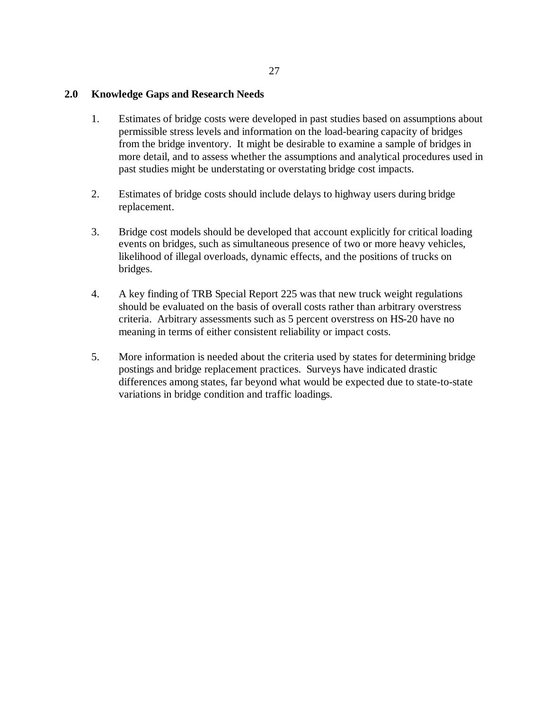#### **2.0 Knowledge Gaps and Research Needs**

- 1. Estimates of bridge costs were developed in past studies based on assumptions about permissible stress levels and information on the load-bearing capacity of bridges from the bridge inventory. It might be desirable to examine a sample of bridges in more detail, and to assess whether the assumptions and analytical procedures used in past studies might be understating or overstating bridge cost impacts.
- 2. Estimates of bridge costs should include delays to highway users during bridge replacement.
- 3. Bridge cost models should be developed that account explicitly for critical loading events on bridges, such as simultaneous presence of two or more heavy vehicles, likelihood of illegal overloads, dynamic effects, and the positions of trucks on bridges.
- 4. A key finding of TRB Special Report 225 was that new truck weight regulations should be evaluated on the basis of overall costs rather than arbitrary overstress criteria. Arbitrary assessments such as 5 percent overstress on HS-20 have no meaning in terms of either consistent reliability or impact costs.
- 5. More information is needed about the criteria used by states for determining bridge postings and bridge replacement practices. Surveys have indicated drastic differences among states, far beyond what would be expected due to state-to-state variations in bridge condition and traffic loadings.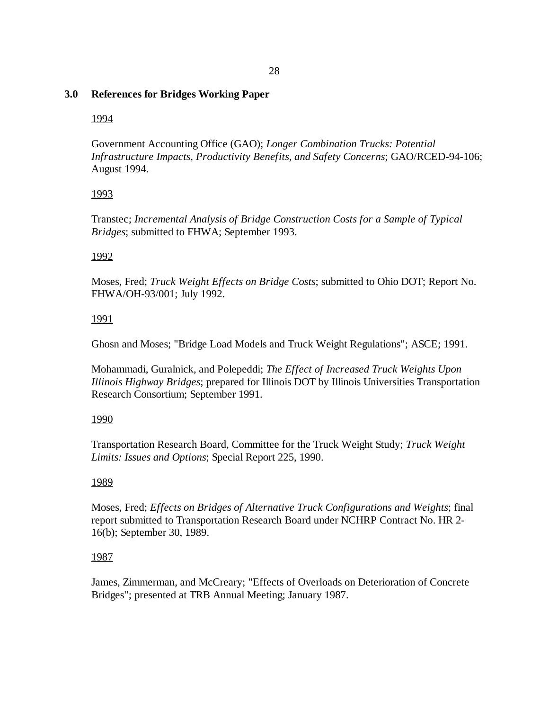#### 28

### **3.0 References for Bridges Working Paper**

### 1994

Government Accounting Office (GAO); *Longer Combination Trucks: Potential Infrastructure Impacts, Productivity Benefits, and Safety Concerns*; GAO/RCED-94-106; August 1994.

# 1993

Transtec; *Incremental Analysis of Bridge Construction Costs for a Sample of Typical Bridges*; submitted to FHWA; September 1993.

# 1992

Moses, Fred; *Truck Weight Effects on Bridge Costs*; submitted to Ohio DOT; Report No. FHWA/OH-93/001; July 1992.

# 1991

Ghosn and Moses; "Bridge Load Models and Truck Weight Regulations"; ASCE; 1991.

Mohammadi, Guralnick, and Polepeddi; *The Effect of Increased Truck Weights Upon Illinois Highway Bridges*; prepared for Illinois DOT by Illinois Universities Transportation Research Consortium; September 1991.

#### 1990

Transportation Research Board, Committee for the Truck Weight Study; *Truck Weight Limits: Issues and Options*; Special Report 225, 1990.

# 1989

Moses, Fred; *Effects on Bridges of Alternative Truck Configurations and Weights*; final report submitted to Transportation Research Board under NCHRP Contract No. HR 2- 16(b); September 30, 1989.

# 1987

James, Zimmerman, and McCreary; "Effects of Overloads on Deterioration of Concrete Bridges"; presented at TRB Annual Meeting; January 1987.